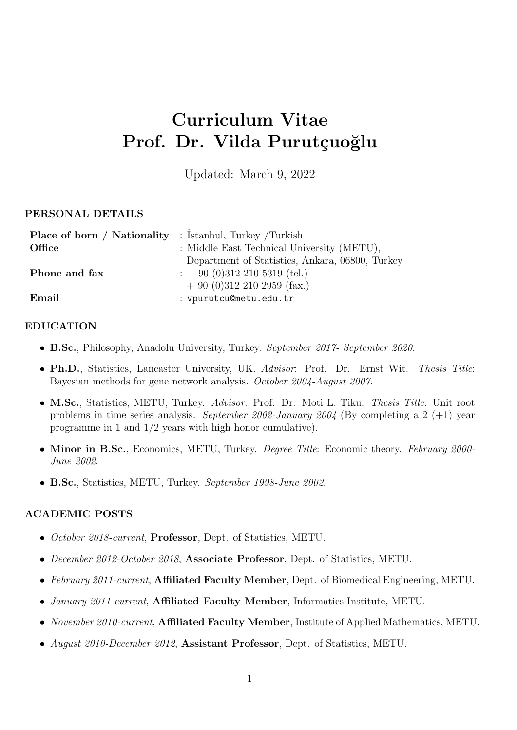# **Curriculum Vitae** Prof. Dr. Vilda Purutçuoğlu

Updated: March 9, 2022

## **PERSONAL DETAILS**

| <b>Place of born / Nationality</b> : Istanbul, Turkey /Turkish |                                                 |
|----------------------------------------------------------------|-------------------------------------------------|
| Office                                                         | : Middle East Technical University (METU),      |
|                                                                | Department of Statistics, Ankara, 06800, Turkey |
| Phone and fax                                                  | $\therefore$ + 90 (0)312 210 5319 (tel.)        |
|                                                                | $+90$ (0)312 210 2959 (fax.)                    |
| Email                                                          | : vpurutcu@metu.edu.tr                          |

## **EDUCATION**

- *•* **B.Sc.**, Philosophy, Anadolu University, Turkey. *September 2017- September 2020*.
- *•* **Ph.D.**, Statistics, Lancaster University, UK. *Advisor*: Prof. Dr. Ernst Wit. *Thesis Title*: Bayesian methods for gene network analysis. *October 2004-August 2007*.
- *•* **M.Sc.**, Statistics, METU, Turkey. *Advisor*: Prof. Dr. Moti L. Tiku. *Thesis Title*: Unit root problems in time series analysis. *September 2002-January 2004* (By completing a 2 (+1) year programme in 1 and 1*/*2 years with high honor cumulative).
- *•* **Minor in B.Sc.**, Economics, METU, Turkey. *Degree Title*: Economic theory. *February 2000- June 2002*.
- *•* **B.Sc.**, Statistics, METU, Turkey. *September 1998-June 2002*.

## **ACADEMIC POSTS**

- *• October 2018-current*, **Professor**, Dept. of Statistics, METU.
- *• December 2012-October 2018*, **Associate Professor**, Dept. of Statistics, METU.
- *• February 2011-current*, **Affiliated Faculty Member**, Dept. of Biomedical Engineering, METU.
- *• January 2011-current*, **Affiliated Faculty Member**, Informatics Institute, METU.
- *• November 2010-current*, **Affiliated Faculty Member**, Institute of Applied Mathematics, METU.
- *• August 2010-December 2012*, **Assistant Professor**, Dept. of Statistics, METU.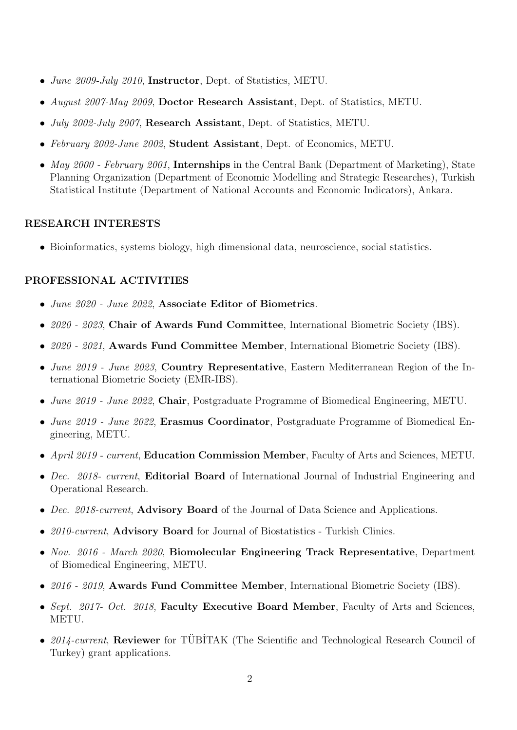- *• June 2009-July 2010*, **Instructor**, Dept. of Statistics, METU.
- *• August 2007-May 2009*, **Doctor Research Assistant**, Dept. of Statistics, METU.
- *• July 2002-July 2007*, **Research Assistant**, Dept. of Statistics, METU.
- *• February 2002-June 2002*, **Student Assistant**, Dept. of Economics, METU.
- *• May 2000 February 2001*, **Internships** in the Central Bank (Department of Marketing), State Planning Organization (Department of Economic Modelling and Strategic Researches), Turkish Statistical Institute (Department of National Accounts and Economic Indicators), Ankara.

#### **RESEARCH INTERESTS**

• Bioinformatics, systems biology, high dimensional data, neuroscience, social statistics.

## **PROFESSIONAL ACTIVITIES**

- *• June 2020 June 2022*, **Associate Editor of Biometrics**.
- *• 2020 2023*, **Chair of Awards Fund Committee**, International Biometric Society (IBS).
- *• 2020 2021*, **Awards Fund Committee Member**, International Biometric Society (IBS).
- *• June 2019 June 2023*, **Country Representative**, Eastern Mediterranean Region of the International Biometric Society (EMR-IBS).
- *• June 2019 June 2022*, **Chair**, Postgraduate Programme of Biomedical Engineering, METU.
- *• June 2019 June 2022*, **Erasmus Coordinator**, Postgraduate Programme of Biomedical Engineering, METU.
- *• April 2019 current*, **Education Commission Member**, Faculty of Arts and Sciences, METU.
- *• Dec. 2018- current*, **Editorial Board** of International Journal of Industrial Engineering and Operational Research.
- *• Dec. 2018-current*, **Advisory Board** of the Journal of Data Science and Applications.
- *• 2010-current*, **Advisory Board** for Journal of Biostatistics Turkish Clinics.
- *• Nov. 2016 March 2020*, **Biomolecular Engineering Track Representative**, Department of Biomedical Engineering, METU.
- *• 2016 2019*, **Awards Fund Committee Member**, International Biometric Society (IBS).
- *• Sept. 2017- Oct. 2018*, **Faculty Executive Board Member**, Faculty of Arts and Sciences, METU.
- 2014-current, **Reviewer** for TÜBİTAK (The Scientific and Technological Research Council of Turkey) grant applications.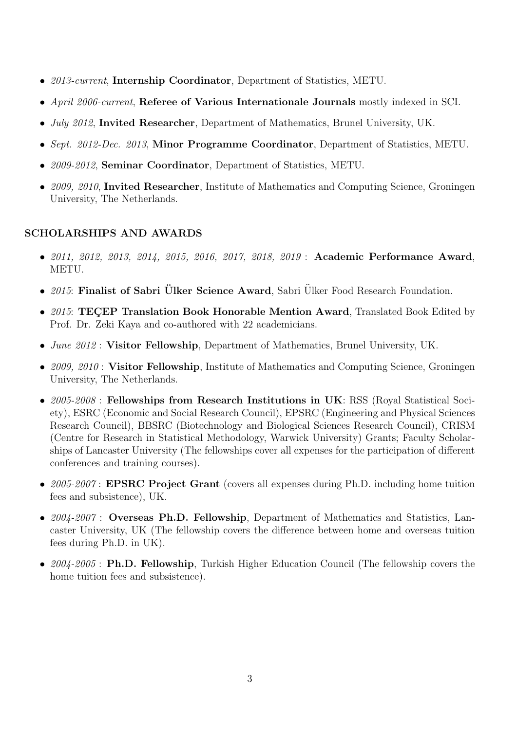- *• 2013-current*, **Internship Coordinator**, Department of Statistics, METU.
- *• April 2006-current*, **Referee of Various Internationale Journals** mostly indexed in SCI.
- *• July 2012*, **Invited Researcher**, Department of Mathematics, Brunel University, UK.
- *• Sept. 2012-Dec. 2013*, **Minor Programme Coordinator**, Department of Statistics, METU.
- *• 2009-2012*, **Seminar Coordinator**, Department of Statistics, METU.
- *• 2009, 2010*, **Invited Researcher**, Institute of Mathematics and Computing Science, Groningen University, The Netherlands.

# **SCHOLARSHIPS AND AWARDS**

- *• 2011, 2012, 2013, 2014, 2015, 2016, 2017, 2018, 2019* : **Academic Performance Award**, METU.
- 2015: **Finalist of Sabri Ülker Science Award**, Sabri Ülker Food Research Foundation.
- 2015: **TECEP Translation Book Honorable Mention Award**, Translated Book Edited by Prof. Dr. Zeki Kaya and co-authored with 22 academicians.
- *• June 2012* : **Visitor Fellowship**, Department of Mathematics, Brunel University, UK.
- *• 2009, 2010* : **Visitor Fellowship**, Institute of Mathematics and Computing Science, Groningen University, The Netherlands.
- *• 2005-2008* : **Fellowships from Research Institutions in UK**: RSS (Royal Statistical Society), ESRC (Economic and Social Research Council), EPSRC (Engineering and Physical Sciences Research Council), BBSRC (Biotechnology and Biological Sciences Research Council), CRISM (Centre for Research in Statistical Methodology, Warwick University) Grants; Faculty Scholarships of Lancaster University (The fellowships cover all expenses for the participation of different conferences and training courses).
- *• 2005-2007* : **EPSRC Project Grant** (covers all expenses during Ph.D. including home tuition fees and subsistence), UK.
- *• 2004-2007* : **Overseas Ph.D. Fellowship**, Department of Mathematics and Statistics, Lancaster University, UK (The fellowship covers the difference between home and overseas tuition fees during Ph.D. in UK).
- *• 2004-2005* : **Ph.D. Fellowship**, Turkish Higher Education Council (The fellowship covers the home tuition fees and subsistence).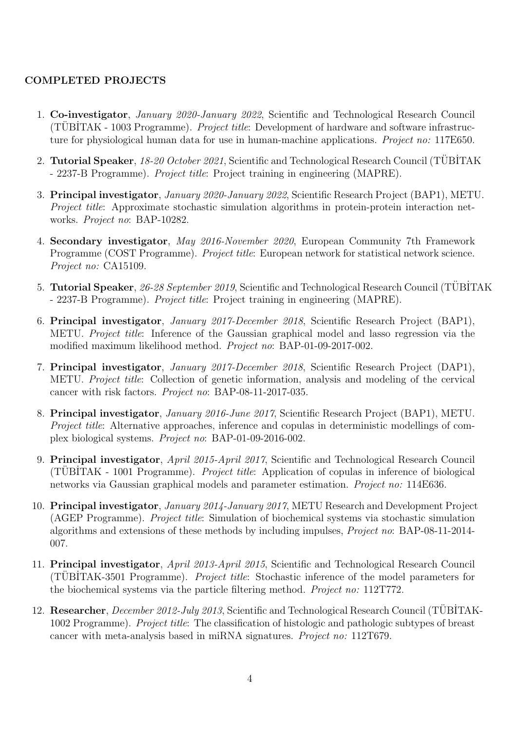## **COMPLETED PROJECTS**

- 1. **Co-investigator**, *January 2020-January 2022*, Scientific and Technological Research Council (TÜBİTAK - 1003 Programme). *Project title*: Development of hardware and software infrastructure for physiological human data for use in human-machine applications. *Project no:* 117E650.
- 2. **Tutorial Speaker**, 18-20 October 2021, Scientific and Technological Research Council (TÜBİTAK - 2237-B Programme). *Project title*: Project training in engineering (MAPRE).
- 3. **Principal investigator**, *January 2020-January 2022*, Scientific Research Project (BAP1), METU. *Project title*: Approximate stochastic simulation algorithms in protein-protein interaction networks. *Project no*: BAP-10282.
- 4. **Secondary investigator**, *May 2016-November 2020*, European Community 7th Framework Programme (COST Programme). *Project title*: European network for statistical network science. *Project no:* CA15109.
- 5. **Tutorial Speaker**, 26-28 September 2019, Scientific and Technological Research Council (TÜBİTAK - 2237-B Programme). *Project title*: Project training in engineering (MAPRE).
- 6. **Principal investigator**, *January 2017-December 2018*, Scientific Research Project (BAP1), METU. *Project title*: Inference of the Gaussian graphical model and lasso regression via the modified maximum likelihood method. *Project no*: BAP-01-09-2017-002.
- 7. **Principal investigator**, *January 2017-December 2018*, Scientific Research Project (DAP1), METU. *Project title*: Collection of genetic information, analysis and modeling of the cervical cancer with risk factors. *Project no*: BAP-08-11-2017-035.
- 8. **Principal investigator**, *January 2016-June 2017*, Scientific Research Project (BAP1), METU. *Project title*: Alternative approaches, inference and copulas in deterministic modellings of complex biological systems. *Project no*: BAP-01-09-2016-002.
- 9. **Principal investigator**, *April 2015-April 2017*, Scientific and Technological Research Council (TUBITAK - 1001 Programme). *Project title*: Application of copulas in inference of biological networks via Gaussian graphical models and parameter estimation. *Project no:* 114E636.
- 10. **Principal investigator**, *January 2014-January 2017*, METU Research and Development Project (AGEP Programme). *Project title*: Simulation of biochemical systems via stochastic simulation algorithms and extensions of these methods by including impulses, *Project no*: BAP-08-11-2014- 007.
- 11. **Principal investigator**, *April 2013-April 2015*, Scientific and Technological Research Council (TUBITAK-3501 Programme). *Project title*: Stochastic inference of the model parameters for the biochemical systems via the particle filtering method. *Project no:* 112T772.
- 12. Researcher, *December 2012-July 2013*, Scientific and Technological Research Council (TUBITAK-1002 Programme). *Project title*: The classification of histologic and pathologic subtypes of breast cancer with meta-analysis based in miRNA signatures. *Project no:* 112T679.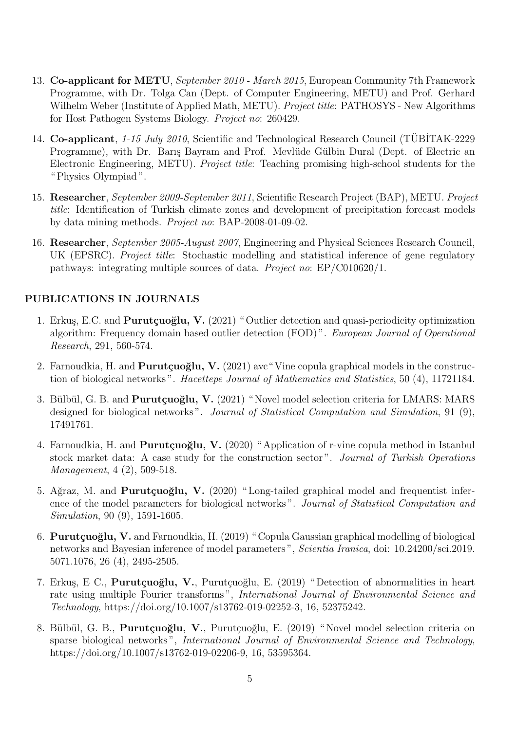- 13. **Co-applicant for METU**, *September 2010 March 2015*, European Community 7th Framework Programme, with Dr. Tolga Can (Dept. of Computer Engineering, METU) and Prof. Gerhard Wilhelm Weber (Institute of Applied Math, METU). *Project title*: PATHOSYS - New Algorithms for Host Pathogen Systems Biology. *Project no*: 260429.
- 14. **Co-applicant**, *1-15 July 2010*, Scientific and Technological Research Council (TÜBİTAK-2229) Programme), with Dr. Barış Bayram and Prof. Mevlüde Gülbin Dural (Dept. of Electric an Electronic Engineering, METU). *Project title*: Teaching promising high-school students for the " Physics Olympiad ".
- 15. **Researcher**, *September 2009-September 2011*, Scientific Research Project (BAP), METU. *Project title*: Identification of Turkish climate zones and development of precipitation forecast models by data mining methods. *Project no*: BAP-2008-01-09-02.
- 16. **Researcher**, *September 2005-August 2007*, Engineering and Physical Sciences Research Council, UK (EPSRC). *Project title*: Stochastic modelling and statistical inference of gene regulatory pathways: integrating multiple sources of data. *Project no*: EP/C010620/1.

# **PUBLICATIONS IN JOURNALS**

- 1. Erkuş, E.C. and **Purutçuoğlu, V.** (2021) "Outlier detection and quasi-periodicity optimization algorithm: Frequency domain based outlier detection (FOD) ". *European Journal of Operational Research*, 291, 560-574.
- 2. Farnoudkia, H. and **Purutçuoğlu, V.** (2021) ave "Vine copula graphical models in the construction of biological networks ". *Hacettepe Journal of Mathematics and Statistics*, 50 (4), 11721184.
- 3. Bülbül, G. B. and **Purutçuoğlu, V.** (2021) "Novel model selection criteria for LMARS: MARS designed for biological networks ". *Journal of Statistical Computation and Simulation*, 91 (9), 17491761.
- 4. Farnoudkia, H. and **Purutçuoğlu, V.** (2020) "Application of r-vine copula method in Istanbul stock market data: A case study for the construction sector ". *Journal of Turkish Operations Management*, 4 (2), 509-518.
- 5. Ağraz, M. and **Purutçuoğlu, V.** (2020) "Long-tailed graphical model and frequentist inference of the model parameters for biological networks ". *Journal of Statistical Computation and Simulation*, 90 (9), 1591-1605.
- 6. **Purut¸cuo˘glu, V.** and Farnoudkia, H. (2019) " Copula Gaussian graphical modelling of biological networks and Bayesian inference of model parameters ", *Scientia Iranica*, doi: 10.24200/sci.2019. 5071.1076, 26 (4), 2495-2505.
- 7. Erkuş, E C., **Purutçuoğlu, V.**, Purutçuoğlu, E. (2019) "Detection of abnormalities in heart rate using multiple Fourier transforms ", *International Journal of Environmental Science and Technology*, https://doi.org/10.1007/s13762-019-02252-3, 16, 52375242.
- 8. Bülbül, G. B., Purutçuoğlu, V., Purutçuoğlu, E. (2019) "Novel model selection criteria on sparse biological networks ", *International Journal of Environmental Science and Technology*, https://doi.org/10.1007/s13762-019-02206-9, 16, 53595364.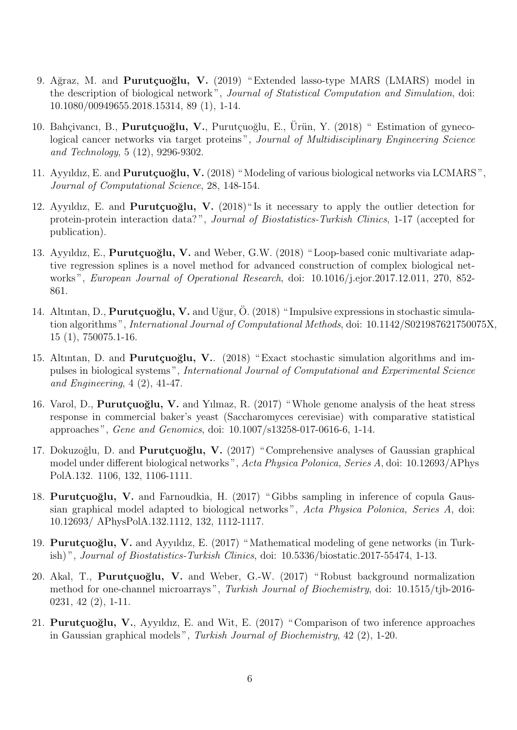- 9. Ağraz, M. and **Purutçuoğlu, V.** (2019) "Extended lasso-type MARS (LMARS) model in the description of biological network ", *Journal of Statistical Computation and Simulation*, doi: 10.1080/00949655.2018.15314, 89 (1), 1-14.
- 10. Bahçivancı, B., **Purutçuoğlu, V.**, Purutçuoğlu, E., Ürün, Y. (2018) " Estimation of gynecological cancer networks via target proteins", *Journal of Multidisciplinary Engineering Science and Technology*, 5 (12), 9296-9302.
- 11. Ayyıldız, E. and **Purutçuoğlu, V.** (2018) "Modeling of various biological networks via LCMARS", *Journal of Computational Science*, 28, 148-154.
- 12. Ayyıldız, E. and **Purutçuoğlu, V.** (2018) "Is it necessary to apply the outlier detection for protein-protein interaction data? ", *Journal of Biostatistics-Turkish Clinics*, 1-17 (accepted for publication).
- 13. Ayyıldız, E., **Purutçuoğlu, V.** and Weber, G.W. (2018) "Loop-based conic multivariate adaptive regression splines is a novel method for advanced construction of complex biological networks ", *European Journal of Operational Research*, doi: 10.1016/j.ejor.2017.12.011, 270, 852- 861.
- 14. Altıntan, D., **Purutçuoğlu, V.** and Uğur, Ö. (2018) "Impulsive expressions in stochastic simulation algorithms ", *International Journal of Computational Methods*, doi: 10.1142/S021987621750075X, 15 (1), 750075.1-16.
- 15. Altıntan, D. and **Purutçuoğlu, V.**. (2018) "Exact stochastic simulation algorithms and impulses in biological systems ", *International Journal of Computational and Experimental Science and Engineering*, 4 (2), 41-47.
- 16. Varol, D., **Purutçuoğlu, V.** and Yılmaz, R. (2017) "Whole genome analysis of the heat stress response in commercial baker's yeast (Saccharomyces cerevisiae) with comparative statistical approaches ", *Gene and Genomics*, doi: 10.1007/s13258-017-0616-6, 1-14.
- 17. Dokuzoğlu, D. and **Purutçuoğlu, V.** (2017) "Comprehensive analyses of Gaussian graphical model under different biological networks ", *Acta Physica Polonica, Series A*, doi: 10.12693/APhys PolA.132. 1106, 132, 1106-1111.
- 18. **Purutçuoğlu, V.** and Farnoudkia, H. (2017) "Gibbs sampling in inference of copula Gaussian graphical model adapted to biological networks ", *Acta Physica Polonica, Series A*, doi: 10.12693/ APhysPolA.132.1112, 132, 1112-1117.
- 19. **Purutçuoğlu, V.** and Ayyıldız, E. (2017) "Mathematical modeling of gene networks (in Turkish) ", *Journal of Biostatistics-Turkish Clinics*, doi: 10.5336/biostatic.2017-55474, 1-13.
- 20. Akal, T., **Purutçuoğlu, V.** and Weber, G.-W. (2017) "Robust background normalization method for one-channel microarrays ", *Turkish Journal of Biochemistry*, doi: 10.1515/tjb-2016- 0231, 42 (2), 1-11.
- 21. **Purutçuoğlu, V.**, Ayyıldız, E. and Wit, E. (2017) "Comparison of two inference approaches in Gaussian graphical models ", *Turkish Journal of Biochemistry*, 42 (2), 1-20.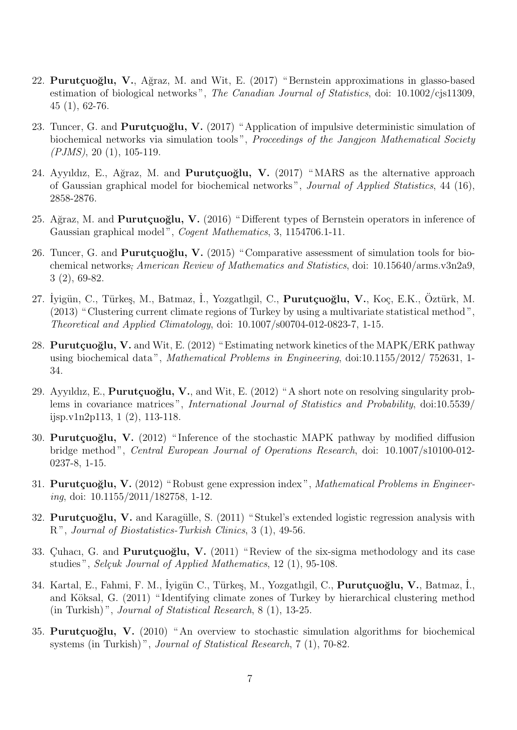- 22. **Purutçuoğlu, V.**, Ağraz, M. and Wit, E. (2017) "Bernstein approximations in glasso-based estimation of biological networks ", *The Canadian Journal of Statistics*, doi: 10.1002/cjs11309, 45 (1), 62-76.
- 23. Tuncer, G. and **Purutçuoğlu, V.** (2017) "Application of impulsive deterministic simulation of biochemical networks via simulation tools ", *Proceedings of the Jangjeon Mathematical Society (PJMS)*, 20 (1), 105-119.
- 24. Ayyıldız, E., Ağraz, M. and **Purutçuoğlu, V.** (2017) "MARS as the alternative approach of Gaussian graphical model for biochemical networks ", *Journal of Applied Statistics*, 44 (16), 2858-2876.
- 25. Ağraz, M. and **Purutçuoğlu, V.** (2016) "Different types of Bernstein operators in inference of Gaussian graphical model ", *Cogent Mathematics*, 3, 1154706.1-11.
- 26. Tuncer, G. and **Purutçuoğlu, V.** (2015) "Comparative assessment of simulation tools for biochemical networks; *American Review of Mathematics and Statistics*, doi: 10.15640/arms.v3n2a9, 3 (2), 69-82.
- 27. İyigün, C., Türkeş, M., Batmaz, İ., Yozgatlıgil, C., **Purutçuoğlu, V.**, Koç, E.K., Öztürk, M. (2013) " Clustering current climate regions of Turkey by using a multivariate statistical method ", *Theoretical and Applied Climatology*, doi: 10.1007/s00704-012-0823-7, 1-15.
- 28. **Purutçuoğlu, V.** and Wit, E. (2012) "Estimating network kinetics of the MAPK/ERK pathway using biochemical data ", *Mathematical Problems in Engineering*, doi:10.1155/2012/ 752631, 1- 34.
- 29. Ayyıldız, E., **Purutçuoğlu, V.**, and Wit, E. (2012) "A short note on resolving singularity problems in covariance matrices ", *International Journal of Statistics and Probability*, doi:10.5539/ ijsp.v1n2p113, 1 (2), 113-118.
- 30. **Purutçuoğlu, V.** (2012) "Inference of the stochastic MAPK pathway by modified diffusion bridge method ", *Central European Journal of Operations Research*, doi: 10.1007/s10100-012- 0237-8, 1-15.
- 31. **Purutçuoğlu, V.** (2012) "Robust gene expression index", *Mathematical Problems in Engineering*, doi: 10.1155/2011/182758, 1-12.
- 32. Purutçuoğlu, V. and Karagülle, S. (2011) "Stukel's extended logistic regression analysis with R ", *Journal of Biostatistics-Turkish Clinics*, 3 (1), 49-56.
- 33. Cuhacı, G. and **Purutçuoğlu, V.** (2011) "Review of the six-sigma methodology and its case studies", *Selçuk Journal of Applied Mathematics*, 12 (1), 95-108.
- 34. Kartal, E., Fahmi, F. M., İyigün C., Türkeş, M., Yozgatlıgil, C., **Purutçuoğlu, V.**, Batmaz, İ., and Köksal, G. (2011) "Identifying climate zones of Turkey by hierarchical clustering method (in Turkish) ", *Journal of Statistical Research*, 8 (1), 13-25.
- 35. **Purutçuoğlu, V.** (2010) "An overview to stochastic simulation algorithms for biochemical systems (in Turkish) ", *Journal of Statistical Research*, 7 (1), 70-82.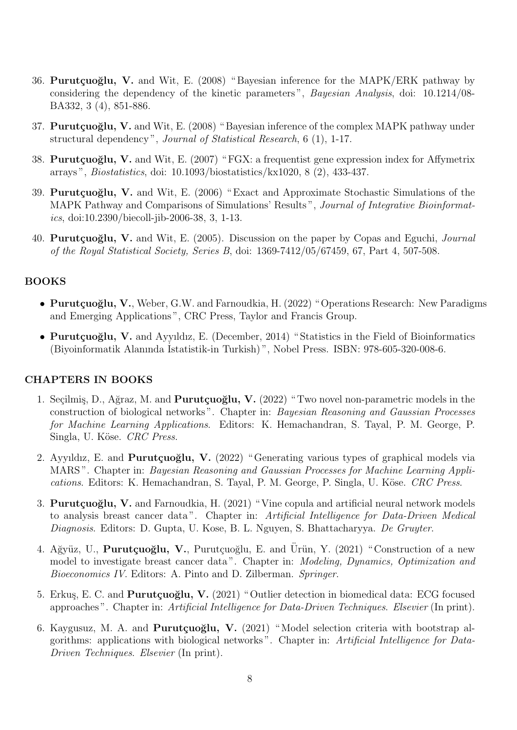- 36. **Purutçuoğlu, V.** and Wit, E. (2008) "Bayesian inference for the MAPK/ERK pathway by considering the dependency of the kinetic parameters ", *Bayesian Analysis*, doi: 10.1214/08- BA332, 3 (4), 851-886.
- 37. **Purutçuoğlu, V.** and Wit, E. (2008) "Bayesian inference of the complex MAPK pathway under structural dependency ", *Journal of Statistical Research*, 6 (1), 1-17.
- 38. **Purutçuoğlu, V.** and Wit, E. (2007) "FGX: a frequentist gene expression index for Affymetrix arrays ", *Biostatistics*, doi: 10.1093/biostatistics/kx1020, 8 (2), 433-437.
- 39. **Purutçuoğlu, V.** and Wit, E. (2006) "Exact and Approximate Stochastic Simulations of the MAPK Pathway and Comparisons of Simulations' Results ", *Journal of Integrative Bioinformatics*, doi:10.2390/biecoll-jib-2006-38, 3, 1-13.
- 40. **Purut¸cuo˘glu, V.** and Wit, E. (2005). Discussion on the paper by Copas and Eguchi, *Journal of the Royal Statistical Society, Series B*, doi: 1369-7412/05/67459, 67, Part 4, 507-508.

#### **BOOKS**

- Purutçuoğlu, V., Weber, G.W. and Farnoudkia, H. (2022) "Operations Research: New Paradigms and Emerging Applications ", CRC Press, Taylor and Francis Group.
- Purutçuoğlu, V. and Ayyıldız, E. (December, 2014) "Statistics in the Field of Bioinformatics (Biyoinformatik Alanında ˙Istatistik-in Turkish) ", Nobel Press. ISBN: 978-605-320-008-6.

#### **CHAPTERS IN BOOKS**

- 1. Seçilmiş, D., Ağraz, M. and **Purutçuoğlu, V.** (2022) "Two novel non-parametric models in the construction of biological networks ". Chapter in: *Bayesian Reasoning and Gaussian Processes for Machine Learning Applications*. Editors: K. Hemachandran, S. Tayal, P. M. George, P. Singla, U. K¨ose. *CRC Press*.
- 2. Ayyıldız, E. and **Purutçuoğlu, V.** (2022) "Generating various types of graphical models via MARS ". Chapter in: *Bayesian Reasoning and Gaussian Processes for Machine Learning Applications.* Editors: K. Hemachandran, S. Tayal, P. M. George, P. Singla, U. Köse. *CRC Press.*
- 3. **Purutçuoğlu, V.** and Farnoudkia, H. (2021) "Vine copula and artificial neural network models to analysis breast cancer data ". Chapter in: *Artificial Intelligence for Data-Driven Medical Diagnosis*. Editors: D. Gupta, U. Kose, B. L. Nguyen, S. Bhattacharyya. *De Gruyter*.
- 4. Ağyüz, U., **Purutçuoğlu, V.**, Purutçuoğlu, E. and Ürün, Y. (2021) "Construction of a new model to investigate breast cancer data ". Chapter in: *Modeling, Dynamics, Optimization and Bioeconomics IV*. Editors: A. Pinto and D. Zilberman. *Springer*.
- 5. Erkuş, E. C. and **Purutçuoğlu, V.** (2021) "Outlier detection in biomedical data: ECG focused approaches ". Chapter in: *Artificial Intelligence for Data-Driven Techniques*. *Elsevier* (In print).
- 6. Kaygusuz, M. A. and **Purutçuoğlu, V.** (2021) "Model selection criteria with bootstrap algorithms: applications with biological networks ". Chapter in: *Artificial Intelligence for Data-Driven Techniques*. *Elsevier* (In print).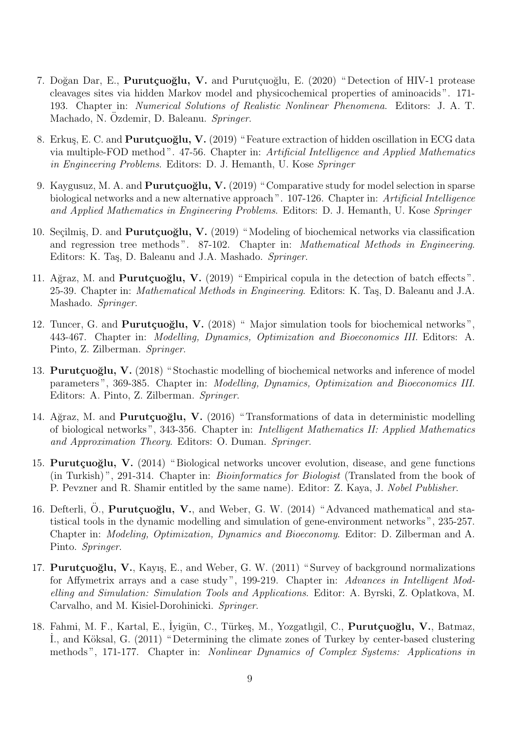- 7. Doğan Dar, E., **Purutçuoğlu, V.** and Purutçuoğlu, E. (2020) "Detection of HIV-1 protease cleavages sites via hidden Markov model and physicochemical properties of aminoacids ". 171- 193. Chapter in: *Numerical Solutions of Realistic Nonlinear Phenomena*. Editors: J. A. T. Machado, N. Ozdemir, D. Baleanu. Springer.
- 8. Erkuş, E. C. and **Purutçuoğlu, V.** (2019) "Feature extraction of hidden oscillation in ECG data via multiple-FOD method ". 47-56. Chapter in: *Artificial Intelligence and Applied Mathematics in Engineering Problems*. Editors: D. J. Hemanth, U. Kose *Springer*
- 9. Kaygusuz, M. A. and **Purutçuoğlu, V.** (2019) "Comparative study for model selection in sparse biological networks and a new alternative approach ". 107-126. Chapter in: *Artificial Intelligence and Applied Mathematics in Engineering Problems*. Editors: D. J. Hemanth, U. Kose *Springer*
- 10. Seçilmiş, D. and **Purutçuoğlu, V.** (2019) "Modeling of biochemical networks via classification and regression tree methods ". 87-102. Chapter in: *Mathematical Methods in Engineering*. Editors: K. Taş, D. Baleanu and J.A. Mashado. *Springer*.
- 11. Ağraz, M. and **Purutçuoğlu, V.** (2019) "Empirical copula in the detection of batch effects". 25-39. Chapter in: *Mathematical Methods in Engineering*. Editors: K. Taş, D. Baleanu and J.A. Mashado. *Springer*.
- 12. Tuncer, G. and **Purutçuoğlu, V.** (2018) "Major simulation tools for biochemical networks", 443-467. Chapter in: *Modelling, Dynamics, Optimization and Bioeconomics III*. Editors: A. Pinto, Z. Zilberman. *Springer*.
- 13. **Purutçuoğlu, V.** (2018) "Stochastic modelling of biochemical networks and inference of model parameters ", 369-385. Chapter in: *Modelling, Dynamics, Optimization and Bioeconomics III*. Editors: A. Pinto, Z. Zilberman. *Springer*.
- 14. Ağraz, M. and **Purutçuoğlu, V.** (2016) "Transformations of data in deterministic modelling of biological networks ", 343-356. Chapter in: *Intelligent Mathematics II: Applied Mathematics and Approximation Theory*. Editors: O. Duman. *Springer*.
- 15. **Purutçuoğlu, V.** (2014) "Biological networks uncover evolution, disease, and gene functions (in Turkish) ", 291-314. Chapter in: *Bioinformatics for Biologist* (Translated from the book of P. Pevzner and R. Shamir entitled by the same name). Editor: Z. Kaya, J. *Nobel Publisher*.
- 16. Defterli, Ö., **Purutçuoğlu, V.**, and Weber, G. W. (2014) "Advanced mathematical and statistical tools in the dynamic modelling and simulation of gene-environment networks ", 235-257. Chapter in: *Modeling, Optimization, Dynamics and Bioeconomy*. Editor: D. Zilberman and A. Pinto. *Springer*.
- 17. **Purutçuoğlu, V.**, Kayış, E., and Weber, G. W. (2011) "Survey of background normalizations for Affymetrix arrays and a case study ", 199-219. Chapter in: *Advances in Intelligent Modelling and Simulation: Simulation Tools and Applications*. Editor: A. Byrski, Z. Oplatkova, M. Carvalho, and M. Kisiel-Dorohinicki. *Springer*.
- 18. Fahmi, M. F., Kartal, E., İyigün, C., Türkeş, M., Yozgatlıgil, C., **Purutçuoğlu, V.**, Batmaz, I., and Köksal, G. (2011) "Determining the climate zones of Turkey by center-based clustering methods ", 171-177. Chapter in: *Nonlinear Dynamics of Complex Systems: Applications in*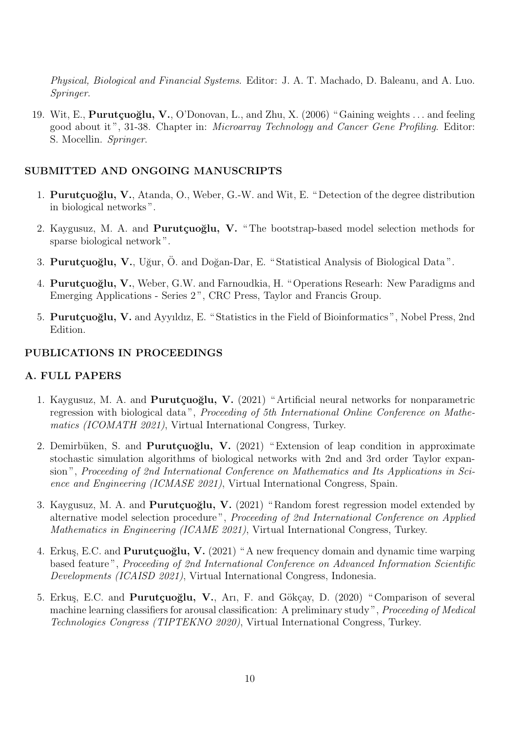*Physical, Biological and Financial Systems*. Editor: J. A. T. Machado, D. Baleanu, and A. Luo. *Springer*.

19. Wit, E., **Purutçuoğlu, V.**, O'Donovan, L., and Zhu, X. (2006) "Gaining weights ... and feeling good about it ", 31-38. Chapter in: *Microarray Technology and Cancer Gene Profiling*. Editor: S. Mocellin. *Springer*.

#### **SUBMITTED AND ONGOING MANUSCRIPTS**

- 1. **Purutçuoğlu, V.**, Atanda, O., Weber, G.-W. and Wit, E. "Detection of the degree distribution in biological networks ".
- 2. Kaygusuz, M. A. and **Purutçuoğlu, V.** "The bootstrap-based model selection methods for sparse biological network ".
- 3. **Purutcuoğlu, V.**, Uğur, Ö. and Doğan-Dar, E. "Statistical Analysis of Biological Data".
- 4. **Purutçuoğlu, V.**, Weber, G.W. and Farnoudkia, H. "Operations Researh: New Paradigms and Emerging Applications - Series 2 ", CRC Press, Taylor and Francis Group.
- 5. **Purutçuoğlu, V.** and Ayyıldız, E. "Statistics in the Field of Bioinformatics", Nobel Press, 2nd Edition.

#### **PUBLICATIONS IN PROCEEDINGS**

#### **A. FULL PAPERS**

- 1. Kaygusuz, M. A. and **Purutçuoğlu, V.** (2021) "Artificial neural networks for nonparametric regression with biological data ", *Proceeding of 5th International Online Conference on Mathematics (ICOMATH 2021)*, Virtual International Congress, Turkey.
- 2. Demirbüken, S. and **Purutçuoğlu, V.** (2021) "Extension of leap condition in approximate stochastic simulation algorithms of biological networks with 2nd and 3rd order Taylor expansion ", *Proceeding of 2nd International Conference on Mathematics and Its Applications in Science and Engineering (ICMASE 2021)*, Virtual International Congress, Spain.
- 3. Kaygusuz, M. A. and **Purutçuoğlu, V.** (2021) "Random forest regression model extended by alternative model selection procedure ", *Proceeding of 2nd International Conference on Applied Mathematics in Engineering (ICAME 2021)*, Virtual International Congress, Turkey.
- 4. Erkuş, E.C. and **Purutçuoğlu, V.** (2021) "A new frequency domain and dynamic time warping based feature ", *Proceeding of 2nd International Conference on Advanced Information Scientific Developments (ICAISD 2021)*, Virtual International Congress, Indonesia.
- 5. Erkuş, E.C. and **Purutçuoğlu, V.**, Arı, F. and Gökçay, D. (2020) "Comparison of several machine learning classifiers for arousal classification: A preliminary study ", *Proceeding of Medical Technologies Congress (TIPTEKNO 2020)*, Virtual International Congress, Turkey.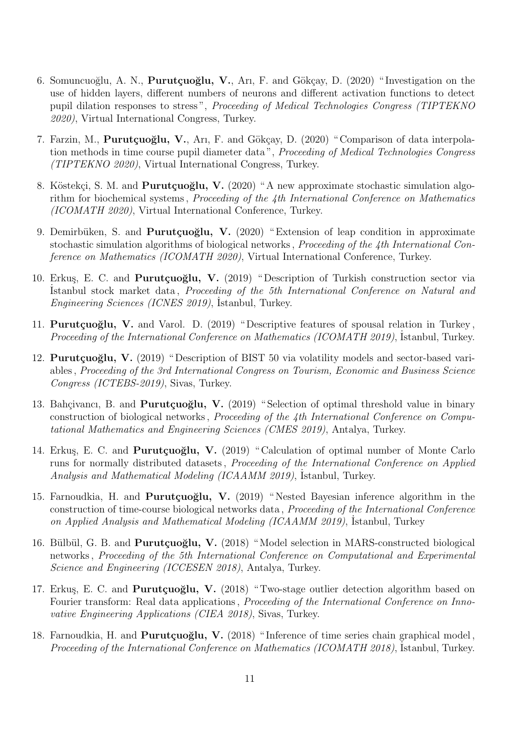- 6. Somuncuoğlu, A. N., **Purutçuoğlu, V.**, Arı, F. and Gökçay, D. (2020) "Investigation on the use of hidden layers, different numbers of neurons and different activation functions to detect pupil dilation responses to stress ", *Proceeding of Medical Technologies Congress (TIPTEKNO 2020)*, Virtual International Congress, Turkey.
- 7. Farzin, M., **Purutçuoğlu, V.**, Arı, F. and Gökçay, D. (2020) "Comparison of data interpolation methods in time course pupil diameter data ", *Proceeding of Medical Technologies Congress (TIPTEKNO 2020)*, Virtual International Congress, Turkey.
- 8. Köstekçi, S. M. and **Purutçuoğlu, V.** (2020) "A new approximate stochastic simulation algorithm for biochemical systems , *Proceeding of the 4th International Conference on Mathematics (ICOMATH 2020)*, Virtual International Conference, Turkey.
- 9. Demirbüken, S. and **Purutçuoğlu, V.** (2020) "Extension of leap condition in approximate stochastic simulation algorithms of biological networks , *Proceeding of the 4th International Conference on Mathematics (ICOMATH 2020)*, Virtual International Conference, Turkey.
- 10. Erkuş, E. C. and **Purutçuoğlu, V.** (2019) "Description of Turkish construction sector via ˙Istanbul stock market data , *Proceeding of the 5th International Conference on Natural and Engineering Sciences (ICNES 2019)*, İstanbul, Turkey.
- 11. **Purutçuoğlu, V.** and Varol. D. (2019) "Descriptive features of spousal relation in Turkey, Proceeding of the International Conference on Mathematics (ICOMATH 2019), İstanbul, Turkey.
- 12. **Purutçuoğlu, V.** (2019) "Description of BIST 50 via volatility models and sector-based variables , *Proceeding of the 3rd International Congress on Tourism, Economic and Business Science Congress (ICTEBS-2019)*, Sivas, Turkey.
- 13. Bahçivancı, B. and **Purutçuoğlu, V.** (2019) "Selection of optimal threshold value in binary construction of biological networks , *Proceeding of the 4th International Conference on Computational Mathematics and Engineering Sciences (CMES 2019)*, Antalya, Turkey.
- 14. Erkuş, E. C. and **Purutçuoğlu, V.** (2019) "Calculation of optimal number of Monte Carlo runs for normally distributed datasets , *Proceeding of the International Conference on Applied* Analysis and Mathematical Modeling (ICAAMM 2019), İstanbul, Turkey.
- 15. Farnoudkia, H. and **Purutçuoğlu, V.** (2019) "Nested Bayesian inference algorithm in the construction of time-course biological networks data , *Proceeding of the International Conference* on Applied Analysis and Mathematical Modeling (ICAAMM 2019), İstanbul, Turkey
- 16. Bülbül, G. B. and **Purutçuoğlu, V.** (2018) "Model selection in MARS-constructed biological networks , *Proceeding of the 5th International Conference on Computational and Experimental Science and Engineering (ICCESEN 2018)*, Antalya, Turkey.
- 17. Erkuş, E. C. and **Purutçuoğlu, V.** (2018) "Two-stage outlier detection algorithm based on Fourier transform: Real data applications , *Proceeding of the International Conference on Innovative Engineering Applications (CIEA 2018)*, Sivas, Turkey.
- 18. Farnoudkia, H. and **Purutçuoğlu, V.** (2018) "Inference of time series chain graphical model, Proceeding of the International Conference on Mathematics (ICOMATH 2018), Istanbul, Turkey.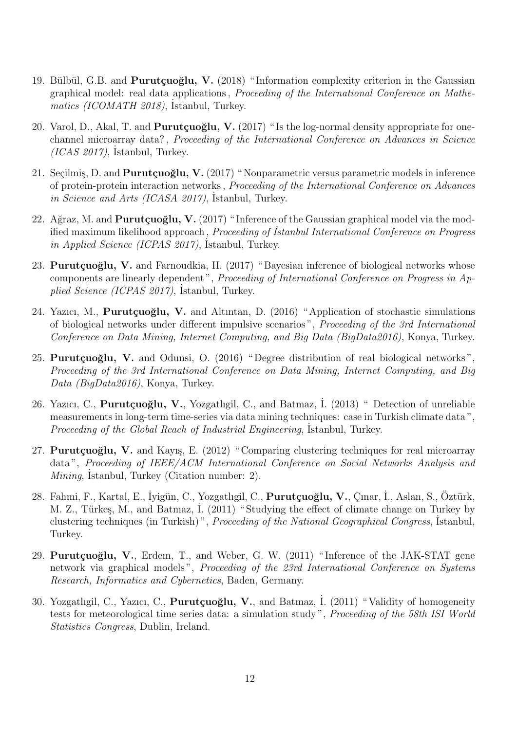- 19. Bülbül, G.B. and **Purutçuoğlu, V.** (2018) "Information complexity criterion in the Gaussian graphical model: real data applications , *Proceeding of the International Conference on Mathe*matics (ICOMATH 2018), İstanbul, Turkey.
- 20. Varol, D., Akal, T. and **Purutçuoğlu, V.** (2017) "Is the log-normal density appropriate for onechannel microarray data? , *Proceeding of the International Conference on Advances in Science* (ICAS 2017), İstanbul, Turkey.
- 21. Seçilmiş, D. and **Purutçuoğlu, V.** (2017) "Nonparametric versus parametric models in inference of protein-protein interaction networks , *Proceeding of the International Conference on Advances* in Science and Arts (ICASA 2017), Istanbul, Turkey.
- 22. Ağraz, M. and **Purutçuoğlu, V.** (2017) "Inference of the Gaussian graphical model via the modified maximum likelihood approach , *Proceeding of ˙Istanbul International Conference on Progress* in Applied Science (ICPAS 2017), Istanbul, Turkey.
- 23. **Purutçuoğlu, V.** and Farnoudkia, H. (2017) "Bayesian inference of biological networks whose components are linearly dependent ", *Proceeding of International Conference on Progress in Ap*plied Science (ICPAS 2017), İstanbul, Turkey.
- 24. Yazıcı, M., **Purutçuoğlu, V.** and Altıntan, D. (2016) "Application of stochastic simulations of biological networks under different impulsive scenarios ", *Proceeding of the 3rd International Conference on Data Mining, Internet Computing, and Big Data (BigData2016)*, Konya, Turkey.
- 25. **Purutçuoğlu, V.** and Odunsi, O. (2016) "Degree distribution of real biological networks", *Proceeding of the 3rd International Conference on Data Mining, Internet Computing, and Big Data (BigData2016)*, Konya, Turkey.
- 26. Yazıcı, C., **Purutçuoğlu, V.**, Yozgatlıgil, C., and Batmaz, İ. (2013) " Detection of unreliable measurements in long-term time-series via data mining techniques: case in Turkish climate data ", Proceeding of the Global Reach of Industrial Engineering, İstanbul, Turkey.
- 27. **Purutçuoğlu, V.** and Kayış, E. (2012) "Comparing clustering techniques for real microarray data ", *Proceeding of IEEE/ACM International Conference on Social Networks Analysis and Mining*, *İstanbul*, *Turkey* (*Citation number: 2*).
- 28. Fahmi, F., Kartal, E., Iyigün, C., Yozgatlıgil, C., Purutçuoğlu, V., Cınar, İ., Aslan, S., Öztürk, M. Z., Türkeş, M., and Batmaz, I. (2011) "Studying the effect of climate change on Turkey by clustering techniques (in Turkish)", *Proceeding of the National Geographical Congress*, Istanbul, Turkey.
- 29. **Purutçuoğlu, V.**, Erdem, T., and Weber, G. W. (2011) "Inference of the JAK-STAT gene network via graphical models ", *Proceeding of the 23rd International Conference on Systems Research, Informatics and Cybernetics*, Baden, Germany.
- 30. Yozgatlıgil, C., Yazıcı, C., **Purutçuoğlu, V.**, and Batmaz, İ. (2011) "Validity of homogeneity tests for meteorological time series data: a simulation study ", *Proceeding of the 58th ISI World Statistics Congress*, Dublin, Ireland.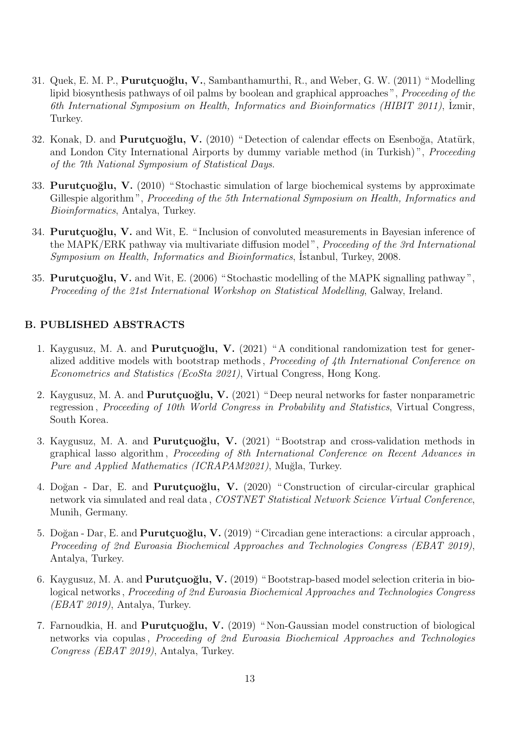- 31. Quek, E. M. P., **Purut¸cuo˘glu, V.**, Sambanthamurthi, R., and Weber, G. W. (2011) " Modelling lipid biosynthesis pathways of oil palms by boolean and graphical approaches ", *Proceeding of the 6th International Symposium on Health, Informatics and Bioinformatics (HIBIT 2011)*, ˙Izmir, Turkey.
- 32. Konak, D. and **Purutçuoğlu, V.** (2010) "Detection of calendar effects on Esenboğa, Atatürk, and London City International Airports by dummy variable method (in Turkish) ", *Proceeding of the 7th National Symposium of Statistical Days*.
- 33. **Purutcuoğlu, V.** (2010) "Stochastic simulation of large biochemical systems by approximate Gillespie algorithm ", *Proceeding of the 5th International Symposium on Health, Informatics and Bioinformatics*, Antalya, Turkey.
- 34. **Purutçuoğlu, V.** and Wit, E. "Inclusion of convoluted measurements in Bayesian inference of the MAPK/ERK pathway via multivariate diffusion model ", *Proceeding of the 3rd International* Symposium on Health, Informatics and Bioinformatics, İstanbul, Turkey, 2008.
- 35. **Purutçuoğlu, V.** and Wit, E. (2006) "Stochastic modelling of the MAPK signalling pathway", *Proceeding of the 21st International Workshop on Statistical Modelling*, Galway, Ireland.

## **B. PUBLISHED ABSTRACTS**

- 1. Kaygusuz, M. A. and **Purutçuoğlu, V.** (2021) "A conditional randomization test for generalized additive models with bootstrap methods , *Proceeding of 4th International Conference on Econometrics and Statistics (EcoSta 2021)*, Virtual Congress, Hong Kong.
- 2. Kaygusuz, M. A. and **Purutçuoğlu, V.** (2021) "Deep neural networks for faster nonparametric regression , *Proceeding of 10th World Congress in Probability and Statistics*, Virtual Congress, South Korea.
- 3. Kaygusuz, M. A. and **Purutçuoğlu, V.** (2021) "Bootstrap and cross-validation methods in graphical lasso algorithm , *Proceeding of 8th International Conference on Recent Advances in Pure and Applied Mathematics (ICRAPAM2021)*, Muğla, Turkey.
- 4. Doğan Dar, E. and **Purutçuoğlu, V.** (2020) "Construction of circular-circular graphical network via simulated and real data , *COSTNET Statistical Network Science Virtual Conference*, Munih, Germany.
- 5. Doğan Dar, E. and **Purutçuoğlu, V.** (2019) "Circadian gene interactions: a circular approach, *Proceeding of 2nd Euroasia Biochemical Approaches and Technologies Congress (EBAT 2019)*, Antalya, Turkey.
- 6. Kaygusuz, M. A. and **Purutçuoğlu, V.** (2019) "Bootstrap-based model selection criteria in biological networks , *Proceeding of 2nd Euroasia Biochemical Approaches and Technologies Congress (EBAT 2019)*, Antalya, Turkey.
- 7. Farnoudkia, H. and **Purutçuoğlu, V.** (2019) "Non-Gaussian model construction of biological networks via copulas , *Proceeding of 2nd Euroasia Biochemical Approaches and Technologies Congress (EBAT 2019)*, Antalya, Turkey.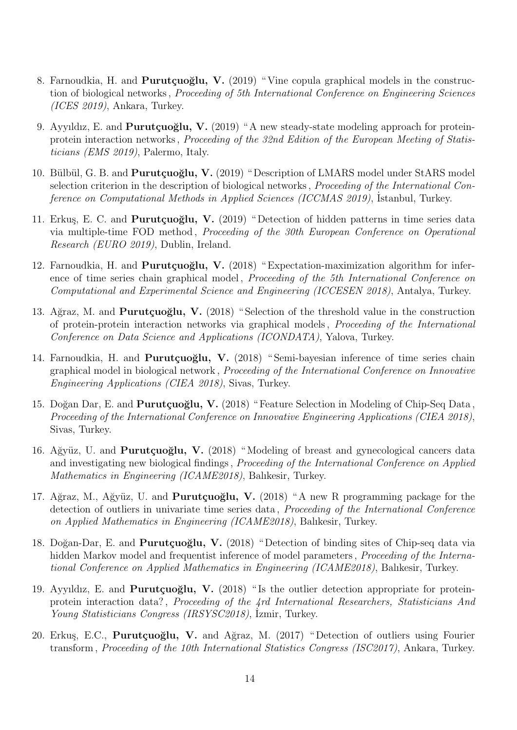- 8. Farnoudkia, H. and **Purutçuoğlu, V.** (2019) "Vine copula graphical models in the construction of biological networks , *Proceeding of 5th International Conference on Engineering Sciences (ICES 2019)*, Ankara, Turkey.
- 9. Ayyıldız, E. and **Purutçuoğlu, V.** (2019) "A new steady-state modeling approach for proteinprotein interaction networks , *Proceeding of the 32nd Edition of the European Meeting of Statisticians (EMS 2019)*, Palermo, Italy.
- 10. Bülbül, G. B. and **Purutçuoğlu, V.** (2019) "Description of LMARS model under StARS model selection criterion in the description of biological networks , *Proceeding of the International Conference on Computational Methods in Applied Sciences (ICCMAS 2019)*, İstanbul, Turkey.
- 11. Erkuş, E. C. and **Purutçuoğlu, V.** (2019) "Detection of hidden patterns in time series data via multiple-time FOD method , *Proceeding of the 30th European Conference on Operational Research (EURO 2019)*, Dublin, Ireland.
- 12. Farnoudkia, H. and **Purutçuoğlu, V.** (2018) "Expectation-maximization algorithm for inference of time series chain graphical model , *Proceeding of the 5th International Conference on Computational and Experimental Science and Engineering (ICCESEN 2018)*, Antalya, Turkey.
- 13. Ağraz, M. and **Purutçuoğlu, V.** (2018) "Selection of the threshold value in the construction of protein-protein interaction networks via graphical models , *Proceeding of the International Conference on Data Science and Applications (ICONDATA)*, Yalova, Turkey.
- 14. Farnoudkia, H. and **Purutçuoğlu, V.** (2018) "Semi-bayesian inference of time series chain graphical model in biological network , *Proceeding of the International Conference on Innovative Engineering Applications (CIEA 2018)*, Sivas, Turkey.
- 15. Doğan Dar, E. and **Purutçuoğlu, V.** (2018) "Feature Selection in Modeling of Chip-Seq Data, *Proceeding of the International Conference on Innovative Engineering Applications (CIEA 2018)*, Sivas, Turkey.
- 16. Ağyüz, U. and **Purutçuoğlu, V.** (2018) "Modeling of breast and gynecological cancers data and investigating new biological findings , *Proceeding of the International Conference on Applied Mathematics in Engineering (ICAME2018)*, Balıkesir, Turkey.
- 17. Ağraz, M., Ağyüz, U. and **Purutçuoğlu, V.** (2018) "A new R programming package for the detection of outliers in univariate time series data , *Proceeding of the International Conference on Applied Mathematics in Engineering (ICAME2018)*, Balıkesir, Turkey.
- 18. Doğan-Dar, E. and **Purutçuoğlu, V.** (2018) "Detection of binding sites of Chip-seq data via hidden Markov model and frequentist inference of model parameters , *Proceeding of the International Conference on Applied Mathematics in Engineering (ICAME2018)*, Balıkesir, Turkey.
- 19. Ayyıldız, E. and **Purutçuoğlu, V.** (2018) "Is the outlier detection appropriate for proteinprotein interaction data? , *Proceeding of the 4rd International Researchers, Statisticians And* Young Statisticians Congress (IRSYSC2018), İzmir, Turkey.
- 20. Erkuş, E.C., **Purutçuoğlu, V.** and Ağraz, M. (2017) "Detection of outliers using Fourier transform , *Proceeding of the 10th International Statistics Congress (ISC2017)*, Ankara, Turkey.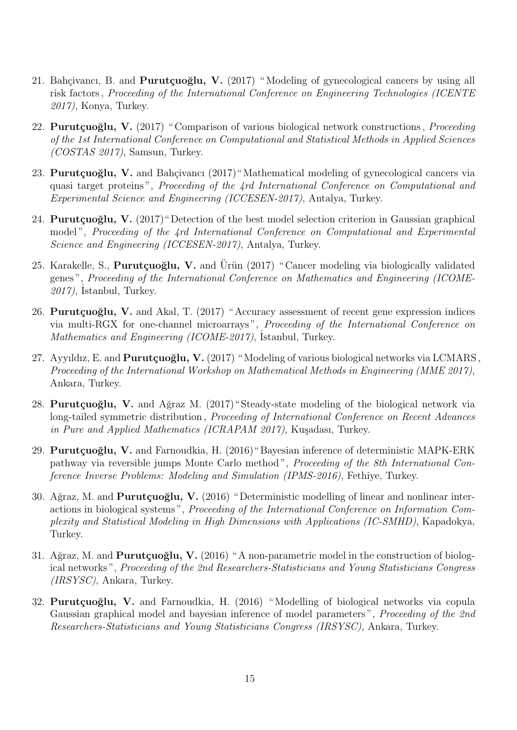- 21. Bahçivancı, B. and **Purutçuoğlu, V.** (2017) "Modeling of gynecological cancers by using all risk factors , *Proceeding of the International Conference on Engineering Technologies (ICENTE 2017)*, Konya, Turkey.
- 22. **Purutçuoğlu, V.** (2017) "Comparison of various biological network constructions, *Proceeding of the 1st International Conference on Computational and Statistical Methods in Applied Sciences (COSTAS 2017)*, Samsun, Turkey.
- 23. **Purutçuoğlu, V.** and Bahçivancı (2017) "Mathematical modeling of gynecological cancers via quasi target proteins ", *Proceeding of the 4rd International Conference on Computational and Experimental Science and Engineering (ICCESEN-2017)*, Antalya, Turkey.
- 24. **Purutçuoğlu, V.** (2017) "Detection of the best model selection criterion in Gaussian graphical model ", *Proceeding of the 4rd International Conference on Computational and Experimental Science and Engineering (ICCESEN-2017)*, Antalya, Turkey.
- 25. Karakelle, S., **Purutçuoğlu, V.** and Ürün (2017) "Cancer modeling via biologically validated genes ", *Proceeding of the International Conference on Mathematics and Engineering (ICOME-*2017), İstanbul, Turkey.
- 26. **Purutçuoğlu, V.** and Akal, T. (2017) "Accuracy assessment of recent gene expression indices via multi-RGX for one-channel microarrays ", *Proceeding of the International Conference on* Mathematics and Engineering (ICOME-2017), İstanbul, Turkey.
- 27. Ayyıldız, E. and **Purutçuoğlu, V.** (2017) "Modeling of various biological networks via LCMARS, *Proceeding of the International Workshop on Mathematical Methods in Engineering (MME 2017)*, Ankara, Turkey.
- 28. **Purutçuoğlu, V.** and Ağraz M. (2017) "Steady-state modeling of the biological network via long-tailed symmetric distribution , *Proceeding of International Conference on Recent Advances in Pure and Applied Mathematics (ICRAPAM 2017)*, Kuşadası, Turkey.
- 29. **Purutçuoğlu, V.** and Farnoudkia, H. (2016) "Bayesian inference of deterministic MAPK-ERK pathway via reversible jumps Monte Carlo method ", *Proceeding of the 8th International Conference Inverse Problems: Modeling and Simulation (IPMS-2016)*, Fethiye, Turkey.
- 30. Ağraz, M. and **Purutçuoğlu, V.** (2016) "Deterministic modelling of linear and nonlinear interactions in biological systems ", *Proceeding of the International Conference on Information Complexity and Statistical Modeling in High Dimensions with Applications (IC-SMHD)*, Kapadokya, Turkey.
- 31. Ağraz, M. and **Purutçuoğlu, V.** (2016) "A non-parametric model in the construction of biological networks ", *Proceeding of the 2nd Researchers-Statisticians and Young Statisticians Congress (IRSYSC)*, Ankara, Turkey.
- 32. **Purutçuoğlu, V.** and Farnoudkia, H. (2016) "Modelling of biological networks via copula Gaussian graphical model and bayesian inference of model parameters ", *Proceeding of the 2nd Researchers-Statisticians and Young Statisticians Congress (IRSYSC)*, Ankara, Turkey.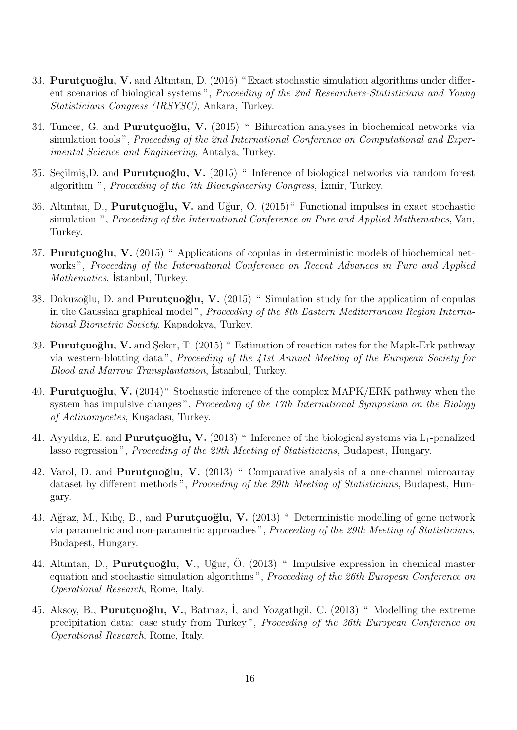- 33. **Purutçuoğlu, V.** and Altıntan, D. (2016) "Exact stochastic simulation algorithms under different scenarios of biological systems ", *Proceeding of the 2nd Researchers-Statisticians and Young Statisticians Congress (IRSYSC)*, Ankara, Turkey.
- 34. Tuncer, G. and **Purutçuoğlu, V.** (2015) " Bifurcation analyses in biochemical networks via simulation tools ", *Proceeding of the 2nd International Conference on Computational and Experimental Science and Engineering*, Antalya, Turkey.
- 35. Seçilmiş, D. and **Purutçuoğlu, V.** (2015) "Inference of biological networks via random forest algorithm ", *Proceeding of the 7th Bioengineering Congress*, *Izmir*, Turkey.
- 36. Altıntan, D., **Purutçuoğlu, V.** and Uğur, Ö. (2015)" Functional impulses in exact stochastic simulation ", *Proceeding of the International Conference on Pure and Applied Mathematics*, Van, Turkey.
- 37. **Purutçuoğlu, V.** (2015) "Applications of copulas in deterministic models of biochemical networks ", *Proceeding of the International Conference on Recent Advances in Pure and Applied* Mathematics, İstanbul, Turkey.
- 38. Dokuzoğlu, D. and **Purutçuoğlu, V.** (2015) "Simulation study for the application of copulas in the Gaussian graphical model ", *Proceeding of the 8th Eastern Mediterranean Region International Biometric Society*, Kapadokya, Turkey.
- 39. **Purutçuoğlu, V.** and Şeker, T. (2015) " Estimation of reaction rates for the Mapk-Erk pathway via western-blotting data ", *Proceeding of the 41st Annual Meeting of the European Society for* Blood and Marrow Transplantation, Istanbul, Turkey.
- 40. **Purutçuoğlu, V.** (2014) "Stochastic inference of the complex MAPK/ERK pathway when the system has impulsive changes ", *Proceeding of the 17th International Symposium on the Biology*  $of$  *Actinomycetes*, Kuşadası, Turkey.
- 41. Ayyıldız, E. and **Purutçuoğlu, V.** (2013) "Inference of the biological systems via L<sub>1</sub>-penalized lasso regression ", *Proceeding of the 29th Meeting of Statisticians*, Budapest, Hungary.
- 42. Varol, D. and **Purutçuoğlu, V.** (2013) " Comparative analysis of a one-channel microarray dataset by different methods ", *Proceeding of the 29th Meeting of Statisticians*, Budapest, Hungary.
- 43. Ağraz, M., Kılıç, B., and **Purutçuoğlu, V.** (2013) " Deterministic modelling of gene network via parametric and non-parametric approaches ", *Proceeding of the 29th Meeting of Statisticians*, Budapest, Hungary.
- 44. Altıntan, D., **Purutçuoğlu, V.**, Uğur, Ö. (2013) " Impulsive expression in chemical master equation and stochastic simulation algorithms ", *Proceeding of the 26th European Conference on Operational Research*, Rome, Italy.
- 45. Aksoy, B., **Purutçuoğlu, V.**, Batmaz, I, and Yozgatlıgil, C. (2013) " Modelling the extreme precipitation data: case study from Turkey ", *Proceeding of the 26th European Conference on Operational Research*, Rome, Italy.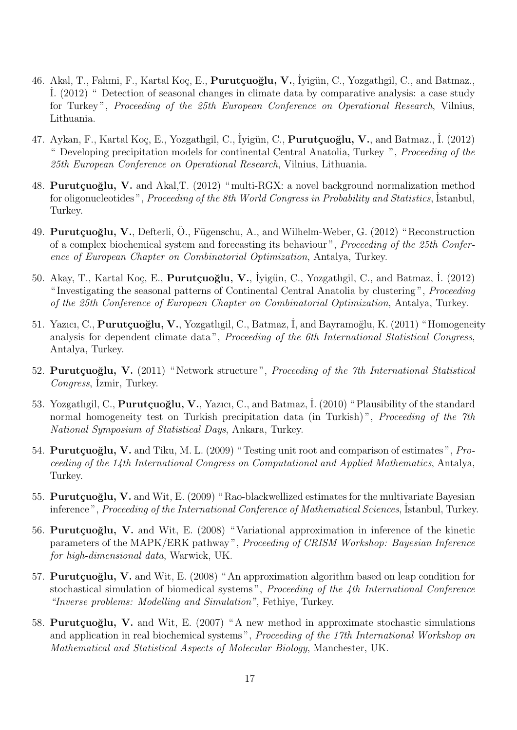- 46. Akal, T., Fahmi, F., Kartal Koç, E., Purutçuoğlu, V., İyigün, C., Yozgatlıgil, C., and Batmaz., ˙I. (2012) " Detection of seasonal changes in climate data by comparative analysis: a case study for Turkey ", *Proceeding of the 25th European Conference on Operational Research*, Vilnius, Lithuania.
- 47. Aykan, F., Kartal Koç, E., Yozgatlıgil, C., İyigün, C., **Purutçuoğlu, V.**, and Batmaz., İ. (2012) " Developing precipitation models for continental Central Anatolia, Turkey ", *Proceeding of the 25th European Conference on Operational Research*, Vilnius, Lithuania.
- 48. **Purutçuoğlu, V.** and Akal, T. (2012) "multi-RGX: a novel background normalization method for oligonucleotides", *Proceeding of the 8th World Congress in Probability and Statistics*, Istanbul, Turkey.
- 49. **Purutçuoğlu, V.**, Defterli, Ö., Fügenschu, A., and Wilhelm-Weber, G. (2012) "Reconstruction of a complex biochemical system and forecasting its behaviour ", *Proceeding of the 25th Conference of European Chapter on Combinatorial Optimization*, Antalya, Turkey.
- 50. Akay, T., Kartal Koç, E., Purutçuoğlu, V., İyigün, C., Yozgatlıgil, C., and Batmaz, İ. (2012) " Investigating the seasonal patterns of Continental Central Anatolia by clustering ", *Proceeding of the 25th Conference of European Chapter on Combinatorial Optimization*, Antalya, Turkey.
- 51. Yazıcı, C., **Purutçuoğlu, V.**, Yozgatlıgil, C., Batmaz, İ, and Bayramoğlu, K. (2011) "Homogeneity analysis for dependent climate data ", *Proceeding of the 6th International Statistical Congress*, Antalya, Turkey.
- 52. **Purutçuoğlu, V.** (2011) "Network structure", *Proceeding of the 7th International Statistical* Congress, İzmir, Turkey.
- 53. Yozgatlıgil, C., **Purutçuoğlu, V.**, Yazıcı, C., and Batmaz, İ. (2010) "Plausibility of the standard normal homogeneity test on Turkish precipitation data (in Turkish) ", *Proceeding of the 7th National Symposium of Statistical Days*, Ankara, Turkey.
- 54. **Purutçuoğlu, V.** and Tiku, M. L. (2009) "Testing unit root and comparison of estimates", *Proceeding of the 14th International Congress on Computational and Applied Mathematics*, Antalya, Turkey.
- 55. **Purutçuoğlu, V.** and Wit, E. (2009) "Rao-blackwellized estimates for the multivariate Bayesian inference", *Proceeding of the International Conference of Mathematical Sciences*, Istanbul, Turkey.
- 56. **Purutçuoğlu, V.** and Wit, E. (2008) "Variational approximation in inference of the kinetic parameters of the MAPK/ERK pathway ", *Proceeding of CRISM Workshop: Bayesian Inference for high-dimensional data*, Warwick, UK.
- 57. **Purutçuoğlu, V.** and Wit, E. (2008) "An approximation algorithm based on leap condition for stochastical simulation of biomedical systems ", *Proceeding of the 4th International Conference "Inverse problems: Modelling and Simulation"*, Fethiye, Turkey.
- 58. **Purutçuoğlu, V.** and Wit, E. (2007) "A new method in approximate stochastic simulations and application in real biochemical systems ", *Proceeding of the 17th International Workshop on Mathematical and Statistical Aspects of Molecular Biology*, Manchester, UK.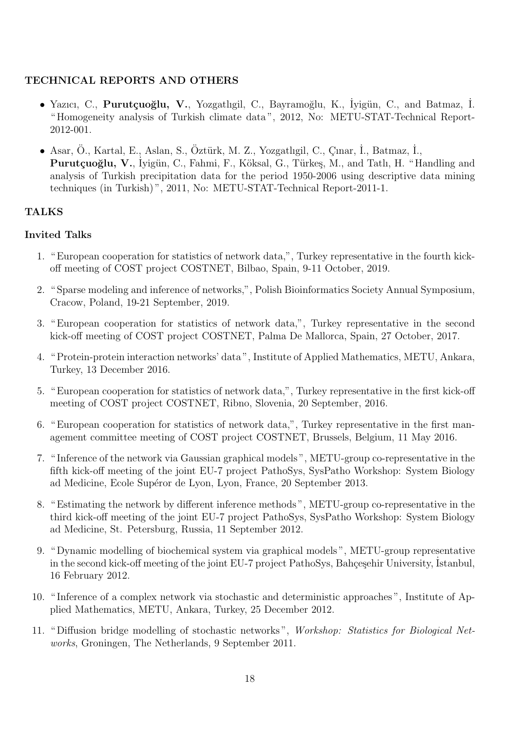# **TECHNICAL REPORTS AND OTHERS**

- Yazıcı, C., **Purutçuoğlu, V.**, Yozgatlıgil, C., Bayramoğlu, K., İyigün, C., and Batmaz, İ. " Homogeneity analysis of Turkish climate data ", 2012, No: METU-STAT-Technical Report-2012-001.
- Asar, Ö., Kartal, E., Aslan, S., Öztürk, M. Z., Yozgatlıgil, C., Çınar, İ., Batmaz, İ., Purutçuoğlu, V., İyigün, C., Fahmi, F., Köksal, G., Türkeş, M., and Tatlı, H. "Handling and analysis of Turkish precipitation data for the period 1950-2006 using descriptive data mining techniques (in Turkish) ", 2011, No: METU-STAT-Technical Report-2011-1.

# **TALKS**

# **Invited Talks**

- 1. " European cooperation for statistics of network data,", Turkey representative in the fourth kickoff meeting of COST project COSTNET, Bilbao, Spain, 9-11 October, 2019.
- 2. " Sparse modeling and inference of networks,", Polish Bioinformatics Society Annual Symposium, Cracow, Poland, 19-21 September, 2019.
- 3. " European cooperation for statistics of network data,", Turkey representative in the second kick-off meeting of COST project COSTNET, Palma De Mallorca, Spain, 27 October, 2017.
- 4. " Protein-protein interaction networks' data ", Institute of Applied Mathematics, METU, Ankara, Turkey, 13 December 2016.
- 5. " European cooperation for statistics of network data,", Turkey representative in the first kick-off meeting of COST project COSTNET, Ribno, Slovenia, 20 September, 2016.
- 6. " European cooperation for statistics of network data,", Turkey representative in the first management committee meeting of COST project COSTNET, Brussels, Belgium, 11 May 2016.
- 7. " Inference of the network via Gaussian graphical models ", METU-group co-representative in the fifth kick-off meeting of the joint EU-7 project PathoSys, SysPatho Workshop: System Biology ad Medicine, Ecole Supéror de Lyon, Lyon, France, 20 September 2013.
- 8. " Estimating the network by different inference methods ", METU-group co-representative in the third kick-off meeting of the joint EU-7 project PathoSys, SysPatho Workshop: System Biology ad Medicine, St. Petersburg, Russia, 11 September 2012.
- 9. " Dynamic modelling of biochemical system via graphical models ", METU-group representative in the second kick-off meeting of the joint EU-7 project PathoSys, Bahçeşehir University, Istanbul, 16 February 2012.
- 10. " Inference of a complex network via stochastic and deterministic approaches ", Institute of Applied Mathematics, METU, Ankara, Turkey, 25 December 2012.
- 11. " Diffusion bridge modelling of stochastic networks ", *Workshop: Statistics for Biological Networks*, Groningen, The Netherlands, 9 September 2011.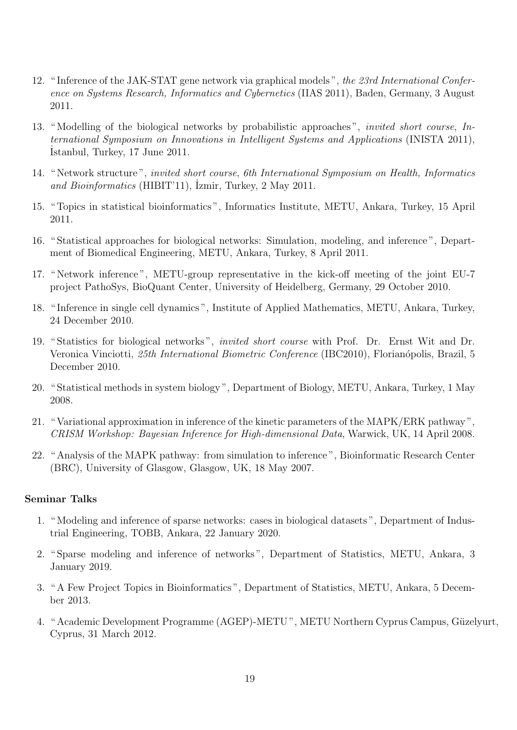- 12. " Inference of the JAK-STAT gene network via graphical models ", *the 23rd International Conference on Systems Research, Informatics and Cybernetics* (IIAS 2011), Baden, Germany, 3 August 2011.
- 13. " Modelling of the biological networks by probabilistic approaches ", *invited short course*, *International Symposium on Innovations in Intelligent Systems and Applications* (INISTA 2011), ˙Istanbul, Turkey, 17 June 2011.
- 14. " Network structure ", *invited short course*, *6th International Symposium on Health, Informatics* and Bioinformatics (HIBIT'11), <sup>Izmir</sup>, Turkey, 2 May 2011.
- 15. " Topics in statistical bioinformatics ", Informatics Institute, METU, Ankara, Turkey, 15 April 2011.
- 16. " Statistical approaches for biological networks: Simulation, modeling, and inference ", Department of Biomedical Engineering, METU, Ankara, Turkey, 8 April 2011.
- 17. " Network inference ", METU-group representative in the kick-off meeting of the joint EU-7 project PathoSys, BioQuant Center, University of Heidelberg, Germany, 29 October 2010.
- 18. " Inference in single cell dynamics ", Institute of Applied Mathematics, METU, Ankara, Turkey, 24 December 2010.
- 19. " Statistics for biological networks ", *invited short course* with Prof. Dr. Ernst Wit and Dr. Veronica Vinciotti, *25th International Biometric Conference* (IBC2010), Florian´opolis, Brazil, 5 December 2010.
- 20. " Statistical methods in system biology ", Department of Biology, METU, Ankara, Turkey, 1 May 2008.
- 21. " Variational approximation in inference of the kinetic parameters of the MAPK/ERK pathway ", *CRISM Workshop: Bayesian Inference for High-dimensional Data*, Warwick, UK, 14 April 2008.
- 22. " Analysis of the MAPK pathway: from simulation to inference ", Bioinformatic Research Center (BRC), University of Glasgow, Glasgow, UK, 18 May 2007.

## **Seminar Talks**

- 1. " Modeling and inference of sparse networks: cases in biological datasets ", Department of Industrial Engineering, TOBB, Ankara, 22 January 2020.
- 2. " Sparse modeling and inference of networks ", Department of Statistics, METU, Ankara, 3 January 2019.
- 3. " A Few Project Topics in Bioinformatics ", Department of Statistics, METU, Ankara, 5 December 2013.
- 4. " Academic Development Programme (AGEP)-METU ", METU Northern Cyprus Campus, Güzelyurt, Cyprus, 31 March 2012.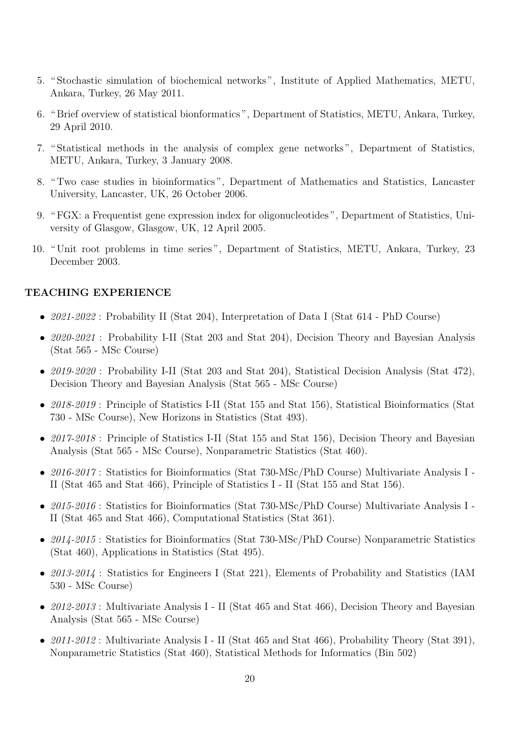- 5. " Stochastic simulation of biochemical networks ", Institute of Applied Mathematics, METU, Ankara, Turkey, 26 May 2011.
- 6. " Brief overview of statistical bionformatics ", Department of Statistics, METU, Ankara, Turkey, 29 April 2010.
- 7. " Statistical methods in the analysis of complex gene networks ", Department of Statistics, METU, Ankara, Turkey, 3 January 2008.
- 8. " Two case studies in bioinformatics ", Department of Mathematics and Statistics, Lancaster University, Lancaster, UK, 26 October 2006.
- 9. " FGX: a Frequentist gene expression index for oligonucleotides ", Department of Statistics, University of Glasgow, Glasgow, UK, 12 April 2005.
- 10. " Unit root problems in time series ", Department of Statistics, METU, Ankara, Turkey, 23 December 2003.

#### **TEACHING EXPERIENCE**

- 2021-2022 : Probability II (Stat 204), Interpretation of Data I (Stat 614 PhD Course)
- *• 2020-2021* : Probability I-II (Stat 203 and Stat 204), Decision Theory and Bayesian Analysis (Stat 565 - MSc Course)
- *• 2019-2020* : Probability I-II (Stat 203 and Stat 204), Statistical Decision Analysis (Stat 472), Decision Theory and Bayesian Analysis (Stat 565 - MSc Course)
- 2018-2019: Principle of Statistics I-II (Stat 155 and Stat 156), Statistical Bioinformatics (Stat 730 - MSc Course), New Horizons in Statistics (Stat 493).
- 2017-2018: Principle of Statistics I-II (Stat 155 and Stat 156), Decision Theory and Bayesian Analysis (Stat 565 - MSc Course), Nonparametric Statistics (Stat 460).
- *• 2016-2017* : Statistics for Bioinformatics (Stat 730-MSc/PhD Course) Multivariate Analysis I II (Stat 465 and Stat 466), Principle of Statistics I - II (Stat 155 and Stat 156).
- *• 2015-2016* : Statistics for Bioinformatics (Stat 730-MSc/PhD Course) Multivariate Analysis I II (Stat 465 and Stat 466), Computational Statistics (Stat 361).
- *• 2014-2015* : Statistics for Bioinformatics (Stat 730-MSc/PhD Course) Nonparametric Statistics (Stat 460), Applications in Statistics (Stat 495).
- 2013-2014 : Statistics for Engineers I (Stat 221), Elements of Probability and Statistics (IAM 530 - MSc Course)
- *• 2012-2013* : Multivariate Analysis I II (Stat 465 and Stat 466), Decision Theory and Bayesian Analysis (Stat 565 - MSc Course)
- *• 2011-2012* : Multivariate Analysis I II (Stat 465 and Stat 466), Probability Theory (Stat 391), Nonparametric Statistics (Stat 460), Statistical Methods for Informatics (Bin 502)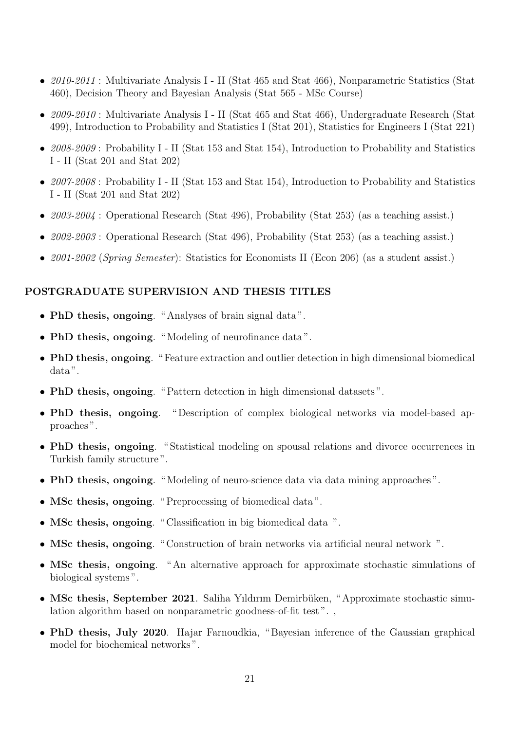- *• 2010-2011* : Multivariate Analysis I II (Stat 465 and Stat 466), Nonparametric Statistics (Stat 460), Decision Theory and Bayesian Analysis (Stat 565 - MSc Course)
- *• 2009-2010* : Multivariate Analysis I II (Stat 465 and Stat 466), Undergraduate Research (Stat 499), Introduction to Probability and Statistics I (Stat 201), Statistics for Engineers I (Stat 221)
- *• 2008-2009* : Probability I II (Stat 153 and Stat 154), Introduction to Probability and Statistics I - II (Stat 201 and Stat 202)
- *• 2007-2008* : Probability I II (Stat 153 and Stat 154), Introduction to Probability and Statistics I - II (Stat 201 and Stat 202)
- 2003-2004 : Operational Research (Stat 496), Probability (Stat 253) (as a teaching assist.)
- *• 2002-2003* : Operational Research (Stat 496), Probability (Stat 253) (as a teaching assist.)
- *• 2001-2002* (*Spring Semester*): Statistics for Economists II (Econ 206) (as a student assist.)

#### **POSTGRADUATE SUPERVISION AND THESIS TITLES**

- *•* **PhD thesis, ongoing**. " Analyses of brain signal data ".
- *•* **PhD thesis, ongoing**. " Modeling of neurofinance data ".
- *•* **PhD thesis, ongoing**. " Feature extraction and outlier detection in high dimensional biomedical data ".
- *•* **PhD thesis, ongoing**. " Pattern detection in high dimensional datasets ".
- *•* **PhD thesis, ongoing**. " Description of complex biological networks via model-based approaches ".
- *•* **PhD thesis, ongoing**. " Statistical modeling on spousal relations and divorce occurrences in Turkish family structure ".
- *•* **PhD thesis, ongoing**. " Modeling of neuro-science data via data mining approaches ".
- *•* **MSc thesis, ongoing**. " Preprocessing of biomedical data ".
- *•* **MSc thesis, ongoing**. " Classification in big biomedical data ".
- *•* **MSc thesis, ongoing**. " Construction of brain networks via artificial neural network ".
- *•* **MSc thesis, ongoing**. " An alternative approach for approximate stochastic simulations of biological systems ".
- MSc thesis, September 2021. Saliha Yıldırım Demirbüken, "Approximate stochastic simulation algorithm based on nonparametric goodness-of-fit test".
- *•* **PhD thesis, July 2020**. Hajar Farnoudkia, " Bayesian inference of the Gaussian graphical model for biochemical networks ".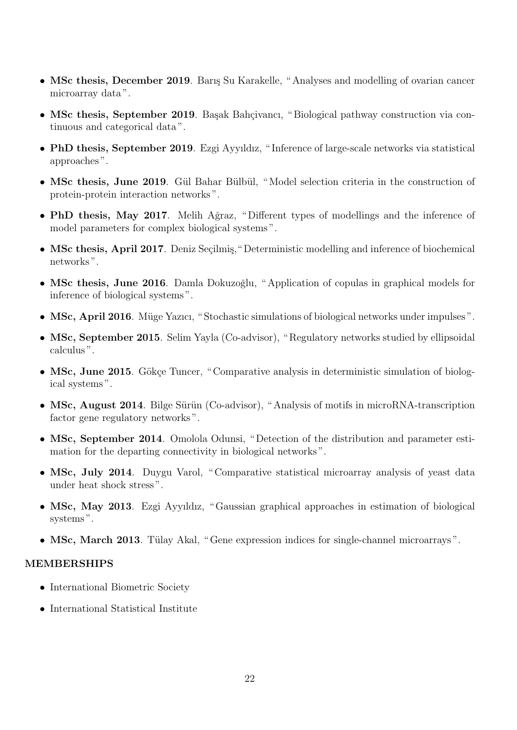- MSc thesis, December 2019. Barış Su Karakelle, "Analyses and modelling of ovarian cancer microarray data ".
- **MSc thesis, September 2019**. Basak Bahçivancı, "Biological pathway construction via continuous and categorical data ".
- *•* **PhD thesis, September 2019**. Ezgi Ayyıldız, " Inference of large-scale networks via statistical approaches ".
- MSc thesis, June 2019. Gül Bahar Bülbül, "Model selection criteria in the construction of protein-protein interaction networks ".
- **PhD thesis, May 2017**. Melih Ağraz, "Different types of modellings and the inference of model parameters for complex biological systems ".
- MSc thesis, April 2017. Deniz Seçilmiş, "Deterministic modelling and inference of biochemical networks ".
- MSc thesis, June 2016. Damla Dokuzoğlu, "Application of copulas in graphical models for inference of biological systems ".
- MSc, April 2016. Müge Yazıcı, "Stochastic simulations of biological networks under impulses".
- MSc, September 2015. Selim Yayla (Co-advisor), "Regulatory networks studied by ellipsoidal calculus ".
- MSc, June 2015. Gökçe Tuncer, "Comparative analysis in deterministic simulation of biological systems ".
- MSc, August 2014. Bilge Sürün (Co-advisor), "Analysis of motifs in microRNA-transcription factor gene regulatory networks ".
- *•* **MSc, September 2014**. Omolola Odunsi, " Detection of the distribution and parameter estimation for the departing connectivity in biological networks ".
- MSc, July 2014. Duygu Varol, "Comparative statistical microarray analysis of yeast data under heat shock stress ".
- MSc, May 2013. Ezgi Ayyıldız, "Gaussian graphical approaches in estimation of biological systems".
- MSc, March 2013. Tülay Akal, "Gene expression indices for single-channel microarrays".

#### **MEMBERSHIPS**

- *•* International Biometric Society
- *•* International Statistical Institute